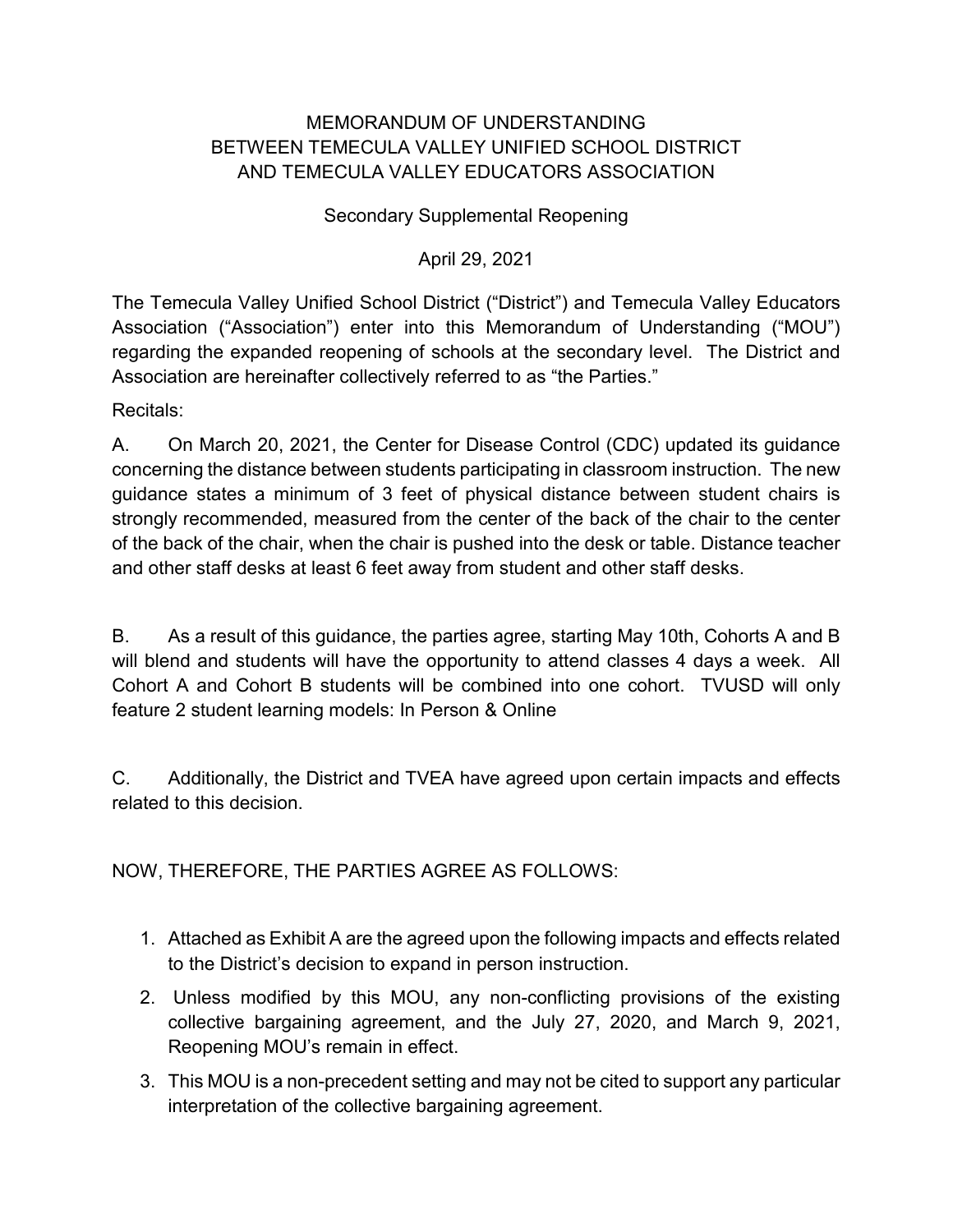## MEMORANDUM OF UNDERSTANDING BETWEEN TEMECULA VALLEY UNIFIED SCHOOL DISTRICT AND TEMECULA VALLEY EDUCATORS ASSOCIATION

## Secondary Supplemental Reopening

## April 29, 2021

The Temecula Valley Unified School District ("District") and Temecula Valley Educators Association ("Association") enter into this Memorandum of Understanding ("MOU") regarding the expanded reopening of schools at the secondary level. The District and Association are hereinafter collectively referred to as "the Parties."

Recitals:

A. On March 20, 2021, the Center for Disease Control (CDC) updated its guidance concerning the distance between students participating in classroom instruction. The new guidance states a minimum of 3 feet of physical distance between student chairs is strongly recommended, measured from the center of the back of the chair to the center of the back of the chair, when the chair is pushed into the desk or table. Distance teacher and other staff desks at least 6 feet away from student and other staff desks.

B. As a result of this guidance, the parties agree, starting May 10th, Cohorts A and B will blend and students will have the opportunity to attend classes 4 days a week. All Cohort A and Cohort B students will be combined into one cohort. TVUSD will only feature 2 student learning models: In Person & Online

C. Additionally, the District and TVEA have agreed upon certain impacts and effects related to this decision.

NOW, THEREFORE, THE PARTIES AGREE AS FOLLOWS:

- 1. Attached as Exhibit A are the agreed upon the following impacts and effects related to the District's decision to expand in person instruction.
- 2. Unless modified by this MOU, any non-conflicting provisions of the existing collective bargaining agreement, and the July 27, 2020, and March 9, 2021, Reopening MOU's remain in effect.
- 3. This MOU is a non-precedent setting and may not be cited to support any particular interpretation of the collective bargaining agreement.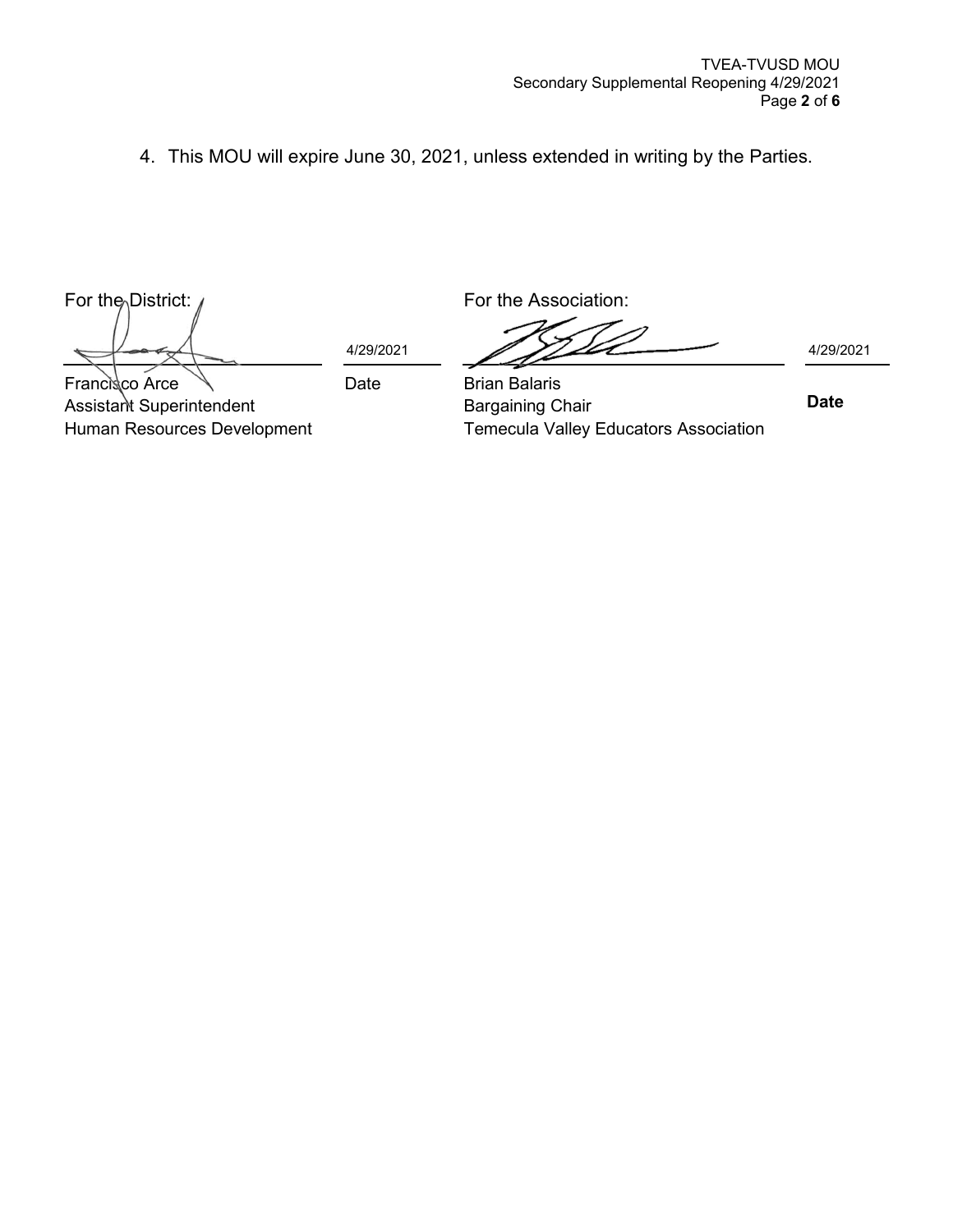4. This MOU will expire June 30, 2021, unless extended in writing by the Parties.

For the District: A series of the Association:

Assistant Superintendent

Human Resources Development

Francisco Arce

 $4/29/2021$   $4/29/2021$ 

Date Brian Balaris Bargaining Chair Temecula Valley Educators Association

 **Date**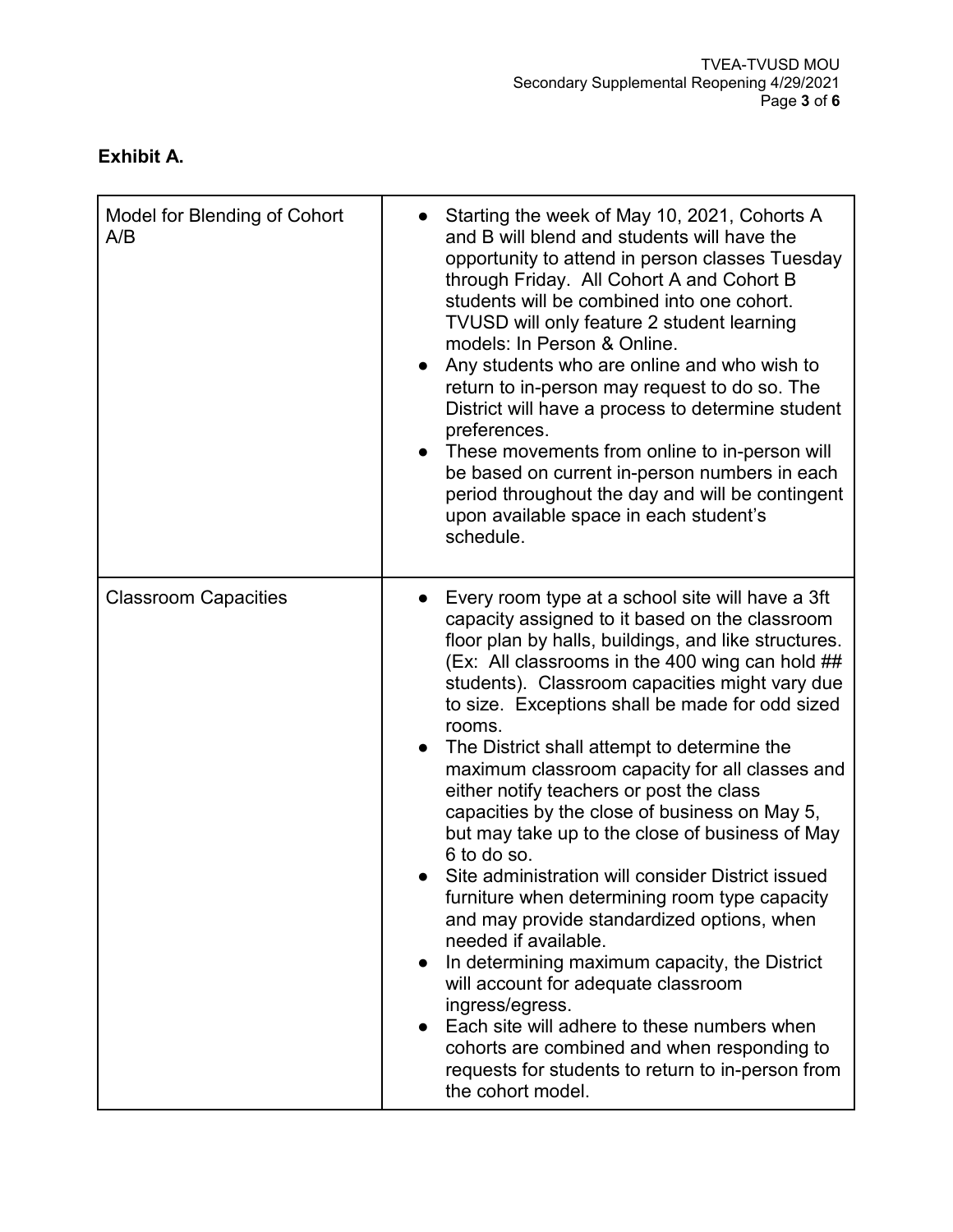## **Exhibit A.**

| Model for Blending of Cohort<br>A/B | Starting the week of May 10, 2021, Cohorts A<br>and B will blend and students will have the<br>opportunity to attend in person classes Tuesday<br>through Friday. All Cohort A and Cohort B<br>students will be combined into one cohort.<br>TVUSD will only feature 2 student learning<br>models: In Person & Online.<br>• Any students who are online and who wish to<br>return to in-person may request to do so. The<br>District will have a process to determine student<br>preferences.<br>These movements from online to in-person will<br>be based on current in-person numbers in each<br>period throughout the day and will be contingent<br>upon available space in each student's<br>schedule.                                                                                                                                                                                                                                                                                                                                                               |
|-------------------------------------|--------------------------------------------------------------------------------------------------------------------------------------------------------------------------------------------------------------------------------------------------------------------------------------------------------------------------------------------------------------------------------------------------------------------------------------------------------------------------------------------------------------------------------------------------------------------------------------------------------------------------------------------------------------------------------------------------------------------------------------------------------------------------------------------------------------------------------------------------------------------------------------------------------------------------------------------------------------------------------------------------------------------------------------------------------------------------|
| <b>Classroom Capacities</b>         | Every room type at a school site will have a 3ft<br>capacity assigned to it based on the classroom<br>floor plan by halls, buildings, and like structures.<br>(Ex: All classrooms in the 400 wing can hold ##<br>students). Classroom capacities might vary due<br>to size. Exceptions shall be made for odd sized<br>rooms.<br>The District shall attempt to determine the<br>maximum classroom capacity for all classes and<br>either notify teachers or post the class<br>capacities by the close of business on May 5,<br>but may take up to the close of business of May<br>6 to do so.<br>Site administration will consider District issued<br>furniture when determining room type capacity<br>and may provide standardized options, when<br>needed if available.<br>In determining maximum capacity, the District<br>$\bullet$<br>will account for adequate classroom<br>ingress/egress.<br>Each site will adhere to these numbers when<br>cohorts are combined and when responding to<br>requests for students to return to in-person from<br>the cohort model. |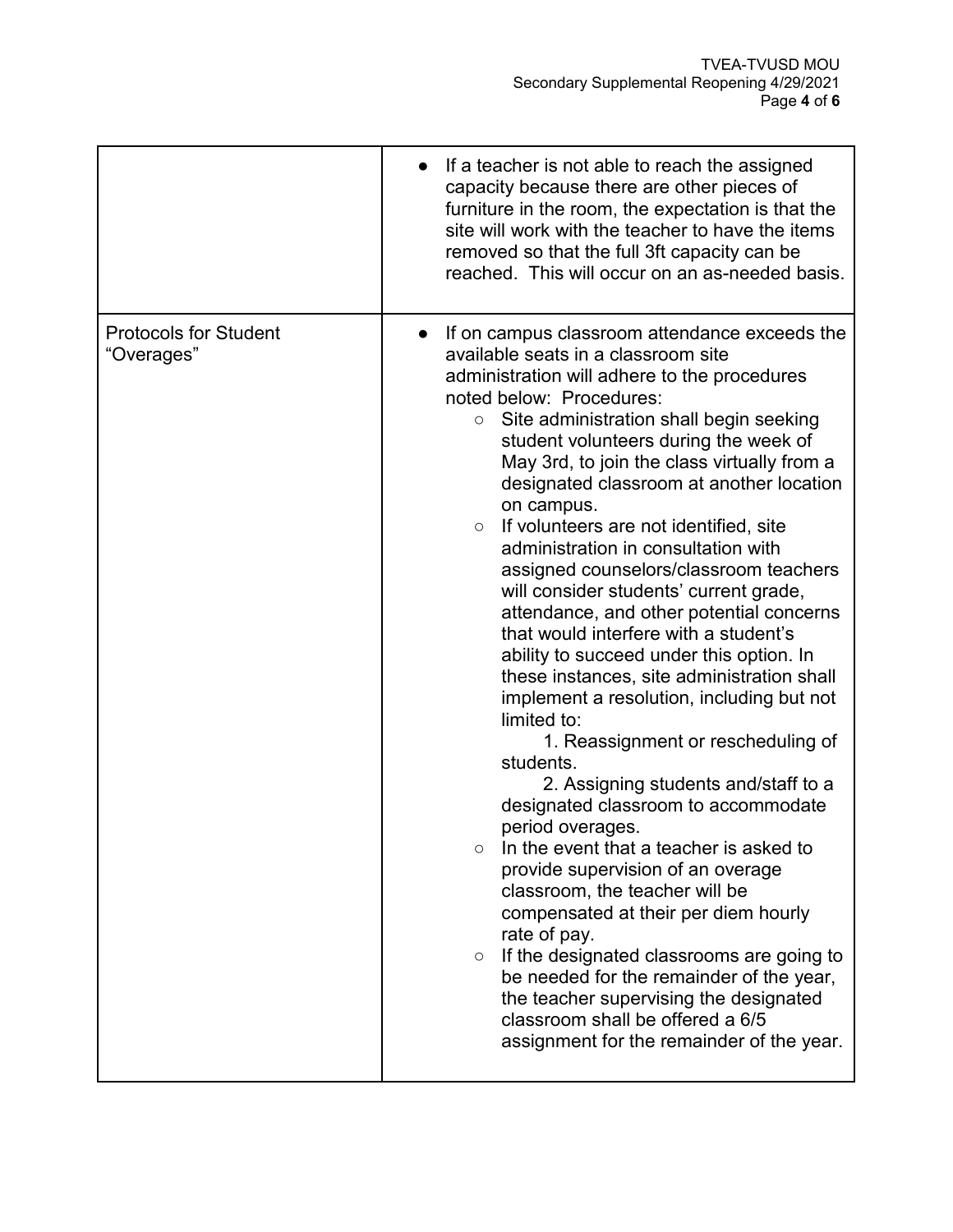|                                            | If a teacher is not able to reach the assigned<br>capacity because there are other pieces of<br>furniture in the room, the expectation is that the<br>site will work with the teacher to have the items<br>removed so that the full 3ft capacity can be<br>reached. This will occur on an as-needed basis.                                                                                                                                                                                                                                                                                                                                                                                                                                                                                                                                                                                                                                                                                                                                                                                                                                                                                                                                                                                                                                                                       |
|--------------------------------------------|----------------------------------------------------------------------------------------------------------------------------------------------------------------------------------------------------------------------------------------------------------------------------------------------------------------------------------------------------------------------------------------------------------------------------------------------------------------------------------------------------------------------------------------------------------------------------------------------------------------------------------------------------------------------------------------------------------------------------------------------------------------------------------------------------------------------------------------------------------------------------------------------------------------------------------------------------------------------------------------------------------------------------------------------------------------------------------------------------------------------------------------------------------------------------------------------------------------------------------------------------------------------------------------------------------------------------------------------------------------------------------|
| <b>Protocols for Student</b><br>"Overages" | If on campus classroom attendance exceeds the<br>available seats in a classroom site<br>administration will adhere to the procedures<br>noted below: Procedures:<br>Site administration shall begin seeking<br>$\bigcirc$<br>student volunteers during the week of<br>May 3rd, to join the class virtually from a<br>designated classroom at another location<br>on campus.<br>If volunteers are not identified, site<br>$\circ$<br>administration in consultation with<br>assigned counselors/classroom teachers<br>will consider students' current grade,<br>attendance, and other potential concerns<br>that would interfere with a student's<br>ability to succeed under this option. In<br>these instances, site administration shall<br>implement a resolution, including but not<br>limited to:<br>1. Reassignment or rescheduling of<br>students.<br>2. Assigning students and/staff to a<br>designated classroom to accommodate<br>period overages.<br>In the event that a teacher is asked to<br>$\circ$<br>provide supervision of an overage<br>classroom, the teacher will be<br>compensated at their per diem hourly<br>rate of pay.<br>If the designated classrooms are going to<br>$\circ$<br>be needed for the remainder of the year,<br>the teacher supervising the designated<br>classroom shall be offered a 6/5<br>assignment for the remainder of the year. |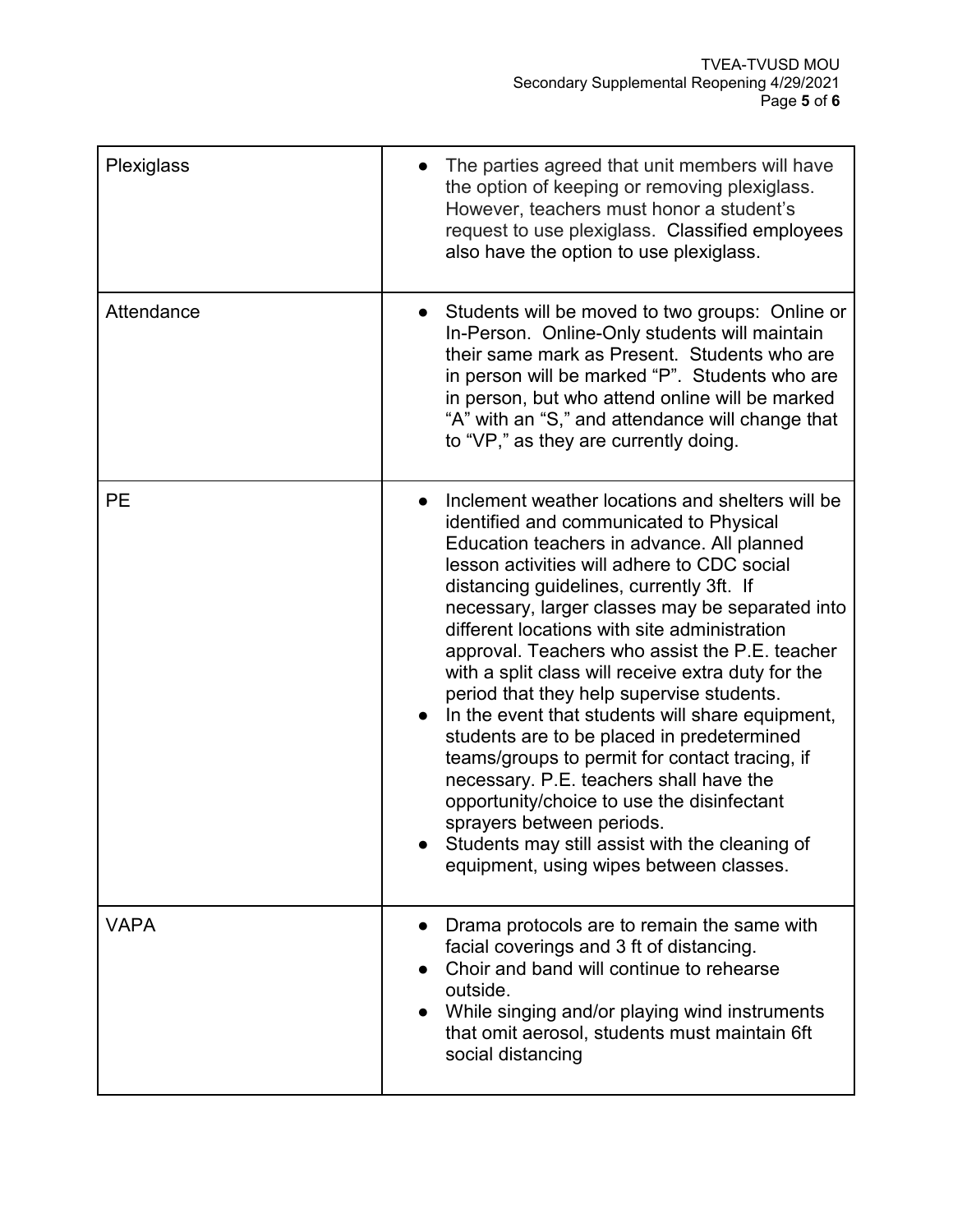| Plexiglass  | The parties agreed that unit members will have<br>the option of keeping or removing plexiglass.<br>However, teachers must honor a student's<br>request to use plexiglass. Classified employees<br>also have the option to use plexiglass.                                                                                                                                                                                                                                                                                                                                                                                                                                                                                                                                                                                                                           |
|-------------|---------------------------------------------------------------------------------------------------------------------------------------------------------------------------------------------------------------------------------------------------------------------------------------------------------------------------------------------------------------------------------------------------------------------------------------------------------------------------------------------------------------------------------------------------------------------------------------------------------------------------------------------------------------------------------------------------------------------------------------------------------------------------------------------------------------------------------------------------------------------|
| Attendance  | Students will be moved to two groups: Online or<br>In-Person. Online-Only students will maintain<br>their same mark as Present. Students who are<br>in person will be marked "P". Students who are<br>in person, but who attend online will be marked<br>"A" with an "S," and attendance will change that<br>to "VP," as they are currently doing.                                                                                                                                                                                                                                                                                                                                                                                                                                                                                                                  |
| <b>PE</b>   | Inclement weather locations and shelters will be<br>identified and communicated to Physical<br>Education teachers in advance. All planned<br>lesson activities will adhere to CDC social<br>distancing guidelines, currently 3ft. If<br>necessary, larger classes may be separated into<br>different locations with site administration<br>approval. Teachers who assist the P.E. teacher<br>with a split class will receive extra duty for the<br>period that they help supervise students.<br>In the event that students will share equipment,<br>students are to be placed in predetermined<br>teams/groups to permit for contact tracing, if<br>necessary. P.E. teachers shall have the<br>opportunity/choice to use the disinfectant<br>sprayers between periods.<br>Students may still assist with the cleaning of<br>equipment, using wipes between classes. |
| <b>VAPA</b> | Drama protocols are to remain the same with<br>facial coverings and 3 ft of distancing.<br>Choir and band will continue to rehearse<br>outside.<br>While singing and/or playing wind instruments<br>that omit aerosol, students must maintain 6ft<br>social distancing                                                                                                                                                                                                                                                                                                                                                                                                                                                                                                                                                                                              |